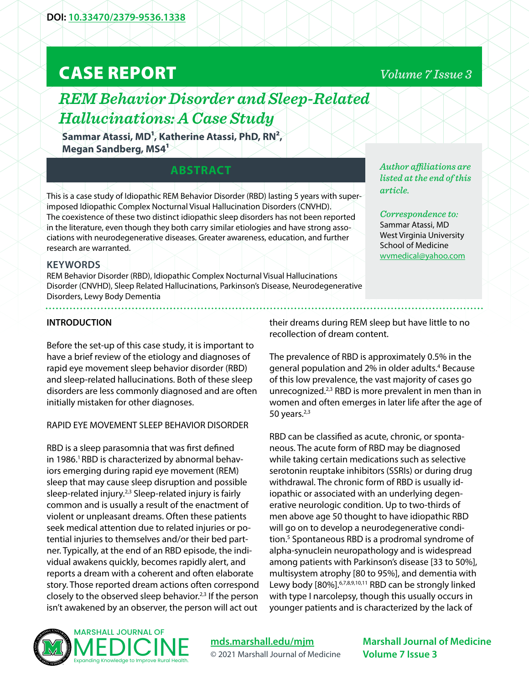# CASE REPORT

## *REM Behavior Disorder and Sleep-Related Hallucinations: A Case Study*

**Sammar Atassi, MD1, Katherine Atassi, PhD, RN2, Megan Sandberg, MS41**

### **ABSTRACT**

This is a case study of Idiopathic REM Behavior Disorder (RBD) lasting 5 years with superimposed Idiopathic Complex Nocturnal Visual Hallucination Disorders (CNVHD). The coexistence of these two distinct idiopathic sleep disorders has not been reported in the literature, even though they both carry similar etiologies and have strong associations with neurodegenerative diseases. Greater awareness, education, and further research are warranted.

#### **KEYWORDS**

REM Behavior Disorder (RBD), Idiopathic Complex Nocturnal Visual Hallucinations Disorder (CNVHD), Sleep Related Hallucinations, Parkinson's Disease, Neurodegenerative Disorders, Lewy Body Dementia

*Author affiliations are listed at the end of this article.* 

*Correspondence to:*  Sammar Atassi, MD West Virginia University School of Medicine [wvmedical@yahoo.com](mailto:wvmedical%40yahoo.com?subject=)

#### **INTRODUCTION**

Before the set-up of this case study, it is important to have a brief review of the etiology and diagnoses of rapid eye movement sleep behavior disorder (RBD) and sleep-related hallucinations. Both of these sleep disorders are less commonly diagnosed and are often initially mistaken for other diagnoses.

#### RAPID EYE MOVEMENT SLEEP BEHAVIOR DISORDER

RBD is a sleep parasomnia that was first defined in 1986.<sup>1</sup> RBD is characterized by abnormal behaviors emerging during rapid eye movement (REM) sleep that may cause sleep disruption and possible sleep-related injury. $2,3$  Sleep-related injury is fairly common and is usually a result of the enactment of violent or unpleasant dreams. Often these patients seek medical attention due to related injuries or potential injuries to themselves and/or their bed partner. Typically, at the end of an RBD episode, the individual awakens quickly, becomes rapidly alert, and reports a dream with a coherent and often elaborate story. Those reported dream actions often correspond closely to the observed sleep behavior.<sup>2,3</sup> If the person isn't awakened by an observer, the person will act out

their dreams during REM sleep but have little to no recollection of dream content.

The prevalence of RBD is approximately 0.5% in the general population and 2% in older adults.<sup>4</sup> Because of this low prevalence, the vast majority of cases go unrecognized.<sup>2,3</sup> RBD is more prevalent in men than in women and often emerges in later life after the age of 50 years. $2,3$ 

RBD can be classified as acute, chronic, or spontaneous. The acute form of RBD may be diagnosed while taking certain medications such as selective serotonin reuptake inhibitors (SSRIs) or during drug withdrawal. The chronic form of RBD is usually idiopathic or associated with an underlying degenerative neurologic condition. Up to two-thirds of men above age 50 thought to have idiopathic RBD will go on to develop a neurodegenerative condition.<sup>5</sup> Spontaneous RBD is a prodromal syndrome of alpha-synuclein neuropathology and is widespread among patients with Parkinson's disease [33 to 50%], multisystem atrophy [80 to 95%], and dementia with Lewy body [80%].<sup>6,7,8,9,10,11</sup> RBD can be strongly linked with type I narcolepsy, though this usually occurs in younger patients and is characterized by the lack of



**[mds.marshall.edu/mjm](https://mds.marshall.edu/mjm/)** © 2021 Marshall Journal of Medicine

**Marshall Journal of Medicine Volume 7 Issue 3**

## *Volume 7 Issue 3*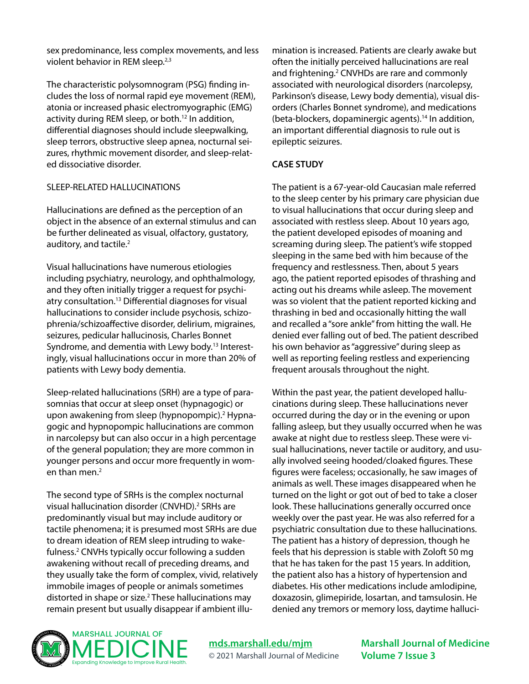sex predominance, less complex movements, and less violent behavior in REM sleep.<sup>2,3</sup>

The characteristic polysomnogram (PSG) finding includes the loss of normal rapid eye movement (REM), atonia or increased phasic electromyographic (EMG) activity during REM sleep, or both.<sup>12</sup> In addition, differential diagnoses should include sleepwalking, sleep terrors, obstructive sleep apnea, nocturnal seizures, rhythmic movement disorder, and sleep-related dissociative disorder.

#### SLEEP-RELATED HALLUCINATIONS

Hallucinations are defined as the perception of an object in the absence of an external stimulus and can be further delineated as visual, olfactory, gustatory, auditory, and tactile.<sup>2</sup>

Visual hallucinations have numerous etiologies including psychiatry, neurology, and ophthalmology, and they often initially trigger a request for psychiatry consultation.13 Differential diagnoses for visual hallucinations to consider include psychosis, schizophrenia/schizoaffective disorder, delirium, migraines, seizures, pedicular hallucinosis, Charles Bonnet Syndrome, and dementia with Lewy body.<sup>13</sup> Interestingly, visual hallucinations occur in more than 20% of patients with Lewy body dementia.

Sleep-related hallucinations (SRH) are a type of parasomnias that occur at sleep onset (hypnagogic) or upon awakening from sleep (hypnopompic).<sup>2</sup> Hypnagogic and hypnopompic hallucinations are common in narcolepsy but can also occur in a high percentage of the general population; they are more common in younger persons and occur more frequently in women than men.2

The second type of SRHs is the complex nocturnal visual hallucination disorder (CNVHD).<sup>2</sup> SRHs are predominantly visual but may include auditory or tactile phenomena; it is presumed most SRHs are due to dream ideation of REM sleep intruding to wakefulness.<sup>2</sup> CNVHs typically occur following a sudden awakening without recall of preceding dreams, and they usually take the form of complex, vivid, relatively immobile images of people or animals sometimes distorted in shape or size.<sup>2</sup> These hallucinations may remain present but usually disappear if ambient illumination is increased. Patients are clearly awake but often the initially perceived hallucinations are real and frightening.<sup>2</sup> CNVHDs are rare and commonly associated with neurological disorders (narcolepsy, Parkinson's disease, Lewy body dementia), visual disorders (Charles Bonnet syndrome), and medications (beta-blockers, dopaminergic agents).14 In addition, an important differential diagnosis to rule out is epileptic seizures.

#### **CASE STUDY**

The patient is a 67-year-old Caucasian male referred to the sleep center by his primary care physician due to visual hallucinations that occur during sleep and associated with restless sleep. About 10 years ago, the patient developed episodes of moaning and screaming during sleep. The patient's wife stopped sleeping in the same bed with him because of the frequency and restlessness. Then, about 5 years ago, the patient reported episodes of thrashing and acting out his dreams while asleep. The movement was so violent that the patient reported kicking and thrashing in bed and occasionally hitting the wall and recalled a "sore ankle" from hitting the wall. He denied ever falling out of bed. The patient described his own behavior as "aggressive" during sleep as well as reporting feeling restless and experiencing frequent arousals throughout the night.

Within the past year, the patient developed hallucinations during sleep. These hallucinations never occurred during the day or in the evening or upon falling asleep, but they usually occurred when he was awake at night due to restless sleep. These were visual hallucinations, never tactile or auditory, and usually involved seeing hooded/cloaked figures. These figures were faceless; occasionally, he saw images of animals as well. These images disappeared when he turned on the light or got out of bed to take a closer look. These hallucinations generally occurred once weekly over the past year. He was also referred for a psychiatric consultation due to these hallucinations. The patient has a history of depression, though he feels that his depression is stable with Zoloft 50 mg that he has taken for the past 15 years. In addition, the patient also has a history of hypertension and diabetes. His other medications include amlodipine, doxazosin, glimepiride, losartan, and tamsulosin. He denied any tremors or memory loss, daytime halluci-



**[mds.marshall.edu/mjm](https://mds.marshall.edu/mjm/)** © 2021 Marshall Journal of Medicine **Marshall Journal of Medicine Volume 7 Issue 3**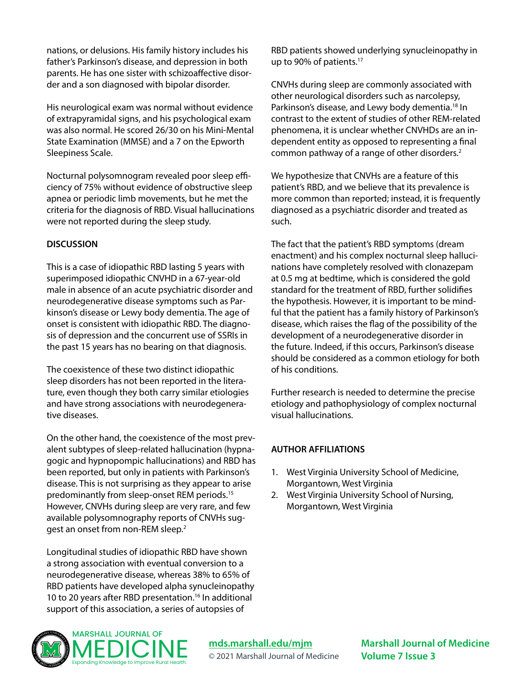nations, or delusions. His family history includes his father's Parkinson's disease, and depression in both parents. He has one sister with schizoaffective disorder and a son diagnosed with bipolar disorder.

His neurological exam was normal without evidence of extrapyramidal signs, and his psychological exam was also normal. He scored 26/30 on his Mini-Mental State Examination (MMSE) and a 7 on the Epworth Sleepiness Scale.

Nocturnal polysomnogram revealed poor sleep efficiency of 75% without evidence of obstructive sleep apnea or periodic limb movements, but he met the criteria for the diagnosis of RBD. Visual hallucinations were not reported during the sleep study.

#### **DISCUSSION**

This is a case of idiopathic RBD lasting 5 years with superimposed idiopathic CNVHD in a 67-year-old male in absence of an acute psychiatric disorder and neurodegenerative disease symptoms such as Parkinson's disease or Lewy body dementia. The age of onset is consistent with idiopathic RBD. The diagnosis of depression and the concurrent use of SSRIs in the past 15 years has no bearing on that diagnosis.

The coexistence of these two distinct idiopathic sleep disorders has not been reported in the literature, even though they both carry similar etiologies and have strong associations with neurodegenerative diseases.

On the other hand, the coexistence of the most prevalent subtypes of sleep-related hallucination (hypnagogic and hypnopompic hallucinations) and RBD has been reported, but only in patients with Parkinson's disease. This is not surprising as they appear to arise predominantly from sleep-onset REM periods.15 However, CNVHs during sleep are very rare, and few available polysomnography reports of CNVHs suggest an onset from non-REM sleep.2

Longitudinal studies of idiopathic RBD have shown a strong association with eventual conversion to a neurodegenerative disease, whereas 38% to 65% of RBD patients have developed alpha synucleinopathy 10 to 20 years after RBD presentation.<sup>16</sup> In additional support of this association, a series of autopsies of

RBD patients showed underlying synucleinopathy in up to 90% of patients.<sup>17</sup>

CNVHs during sleep are commonly associated with other neurological disorders such as narcolepsy, Parkinson's disease, and Lewy body dementia.<sup>18</sup> In contrast to the extent of studies of other REM-related phenomena, it is unclear whether CNVHDs are an independent entity as opposed to representing a final common pathway of a range of other disorders.<sup>2</sup>

We hypothesize that CNVHs are a feature of this patient's RBD, and we believe that its prevalence is more common than reported; instead, it is frequently diagnosed as a psychiatric disorder and treated as such.

The fact that the patient's RBD symptoms (dream enactment) and his complex nocturnal sleep hallucinations have completely resolved with clonazepam at 0.5 mg at bedtime, which is considered the gold standard for the treatment of RBD, further solidifies the hypothesis. However, it is important to be mindful that the patient has a family history of Parkinson's disease, which raises the flag of the possibility of the development of a neurodegenerative disorder in the future. Indeed, if this occurs, Parkinson's disease should be considered as a common etiology for both of his conditions.

Further research is needed to determine the precise etiology and pathophysiology of complex nocturnal visual hallucinations.

#### **AUTHOR AFFILIATIONS**

- 1. West Virginia University School of Medicine, Morgantown, West Virginia
- 2. West Virginia University School of Nursing, Morgantown, West Virginia



**[mds.marshall.edu/mjm](https://mds.marshall.edu/mjm/)** © 2021 Marshall Journal of Medicine **Marshall Journal of Medicine Volume 7 Issue 3**